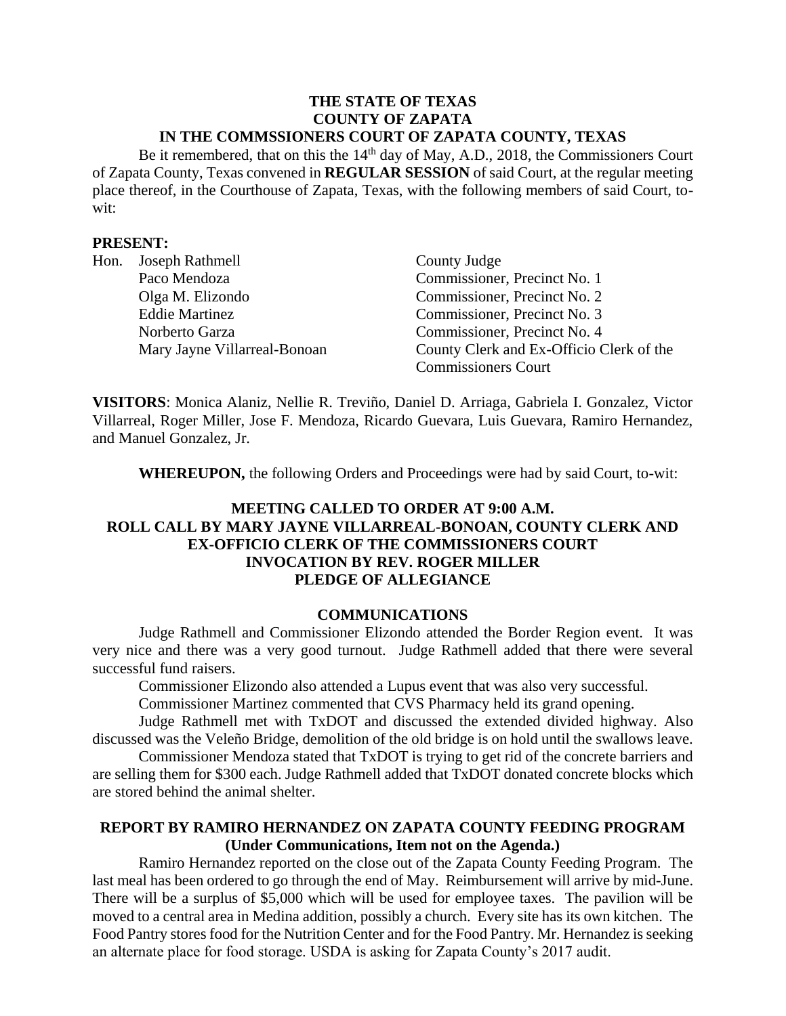#### **THE STATE OF TEXAS COUNTY OF ZAPATA IN THE COMMSSIONERS COURT OF ZAPATA COUNTY, TEXAS**

Be it remembered, that on this the 14<sup>th</sup> day of May, A.D., 2018, the Commissioners Court of Zapata County, Texas convened in **REGULAR SESSION** of said Court, at the regular meeting place thereof, in the Courthouse of Zapata, Texas, with the following members of said Court, towit:

### **PRESENT:**

| Hon. | Joseph Rathmell              | County Judge                             |
|------|------------------------------|------------------------------------------|
|      | Paco Mendoza                 | Commissioner, Precinct No. 1             |
|      | Olga M. Elizondo             | Commissioner, Precinct No. 2             |
|      | <b>Eddie Martinez</b>        | Commissioner, Precinct No. 3             |
|      | Norberto Garza               | Commissioner, Precinct No. 4             |
|      | Mary Jayne Villarreal-Bonoan | County Clerk and Ex-Officio Clerk of the |
|      |                              | <b>Commissioners Court</b>               |

**VISITORS**: Monica Alaniz, Nellie R. Treviño, Daniel D. Arriaga, Gabriela I. Gonzalez, Victor Villarreal, Roger Miller, Jose F. Mendoza, Ricardo Guevara, Luis Guevara, Ramiro Hernandez, and Manuel Gonzalez, Jr.

**WHEREUPON,** the following Orders and Proceedings were had by said Court, to-wit:

# **MEETING CALLED TO ORDER AT 9:00 A.M. ROLL CALL BY MARY JAYNE VILLARREAL-BONOAN, COUNTY CLERK AND EX-OFFICIO CLERK OF THE COMMISSIONERS COURT INVOCATION BY REV. ROGER MILLER PLEDGE OF ALLEGIANCE**

### **COMMUNICATIONS**

Judge Rathmell and Commissioner Elizondo attended the Border Region event. It was very nice and there was a very good turnout. Judge Rathmell added that there were several successful fund raisers.

Commissioner Elizondo also attended a Lupus event that was also very successful.

Commissioner Martinez commented that CVS Pharmacy held its grand opening.

Judge Rathmell met with TxDOT and discussed the extended divided highway. Also discussed was the Veleño Bridge, demolition of the old bridge is on hold until the swallows leave.

Commissioner Mendoza stated that TxDOT is trying to get rid of the concrete barriers and are selling them for \$300 each. Judge Rathmell added that TxDOT donated concrete blocks which are stored behind the animal shelter.

# **REPORT BY RAMIRO HERNANDEZ ON ZAPATA COUNTY FEEDING PROGRAM (Under Communications, Item not on the Agenda.)**

Ramiro Hernandez reported on the close out of the Zapata County Feeding Program. The last meal has been ordered to go through the end of May. Reimbursement will arrive by mid-June. There will be a surplus of \$5,000 which will be used for employee taxes. The pavilion will be moved to a central area in Medina addition, possibly a church. Every site has its own kitchen. The Food Pantry stores food for the Nutrition Center and for the Food Pantry. Mr. Hernandez is seeking an alternate place for food storage. USDA is asking for Zapata County's 2017 audit.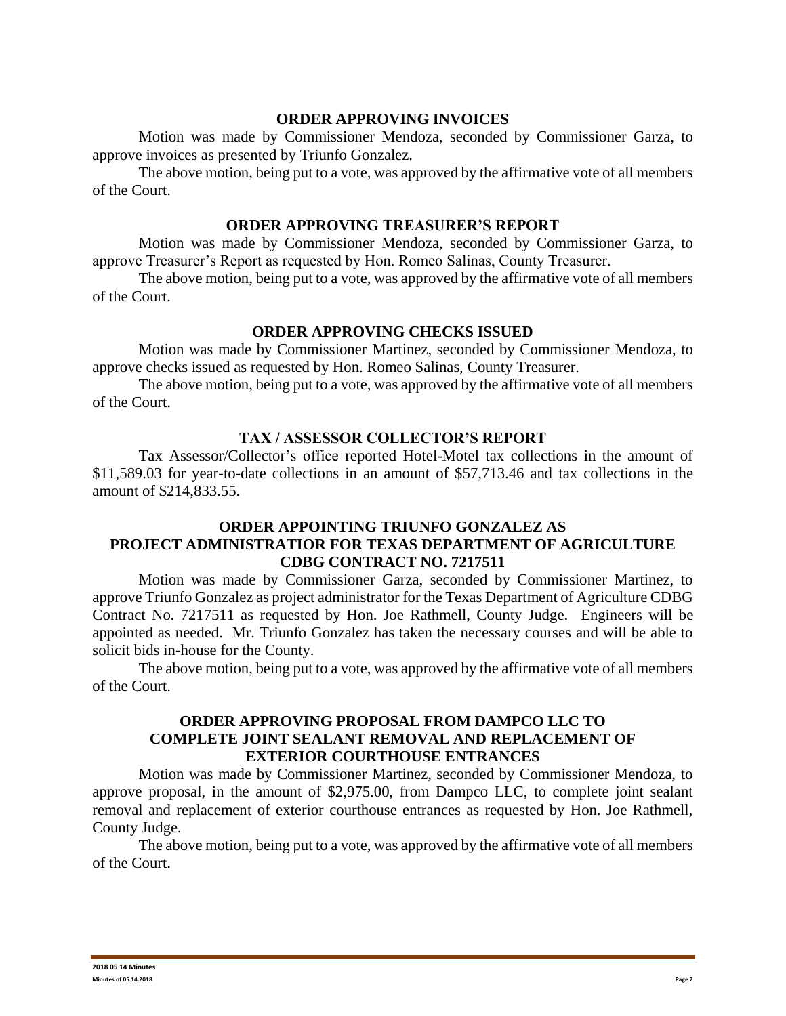#### **ORDER APPROVING INVOICES**

Motion was made by Commissioner Mendoza, seconded by Commissioner Garza, to approve invoices as presented by Triunfo Gonzalez.

The above motion, being put to a vote, was approved by the affirmative vote of all members of the Court.

### **ORDER APPROVING TREASURER'S REPORT**

Motion was made by Commissioner Mendoza, seconded by Commissioner Garza, to approve Treasurer's Report as requested by Hon. Romeo Salinas, County Treasurer.

The above motion, being put to a vote, was approved by the affirmative vote of all members of the Court.

### **ORDER APPROVING CHECKS ISSUED**

Motion was made by Commissioner Martinez, seconded by Commissioner Mendoza, to approve checks issued as requested by Hon. Romeo Salinas, County Treasurer.

The above motion, being put to a vote, was approved by the affirmative vote of all members of the Court.

### **TAX / ASSESSOR COLLECTOR'S REPORT**

Tax Assessor/Collector's office reported Hotel-Motel tax collections in the amount of \$11,589.03 for year-to-date collections in an amount of \$57,713.46 and tax collections in the amount of \$214,833.55.

## **ORDER APPOINTING TRIUNFO GONZALEZ AS PROJECT ADMINISTRATIOR FOR TEXAS DEPARTMENT OF AGRICULTURE CDBG CONTRACT NO. 7217511**

Motion was made by Commissioner Garza, seconded by Commissioner Martinez, to approve Triunfo Gonzalez as project administrator for the Texas Department of Agriculture CDBG Contract No. 7217511 as requested by Hon. Joe Rathmell, County Judge. Engineers will be appointed as needed. Mr. Triunfo Gonzalez has taken the necessary courses and will be able to solicit bids in-house for the County.

The above motion, being put to a vote, was approved by the affirmative vote of all members of the Court.

## **ORDER APPROVING PROPOSAL FROM DAMPCO LLC TO COMPLETE JOINT SEALANT REMOVAL AND REPLACEMENT OF EXTERIOR COURTHOUSE ENTRANCES**

Motion was made by Commissioner Martinez, seconded by Commissioner Mendoza, to approve proposal, in the amount of \$2,975.00, from Dampco LLC, to complete joint sealant removal and replacement of exterior courthouse entrances as requested by Hon. Joe Rathmell, County Judge.

The above motion, being put to a vote, was approved by the affirmative vote of all members of the Court.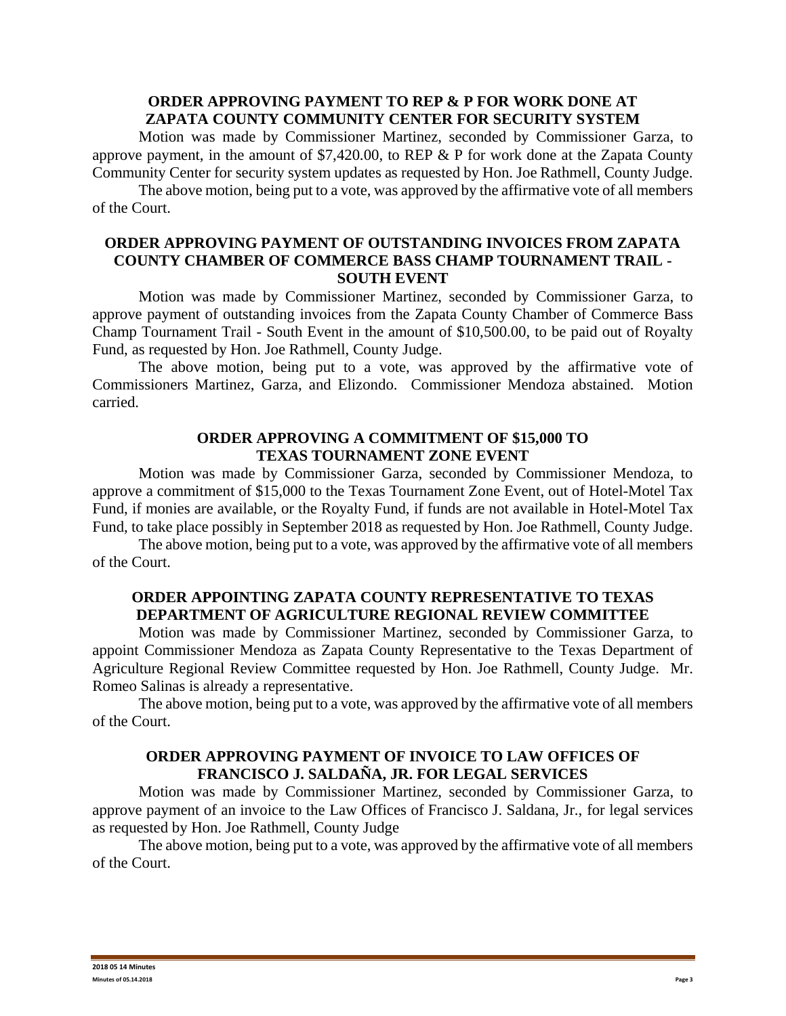### **ORDER APPROVING PAYMENT TO REP & P FOR WORK DONE AT ZAPATA COUNTY COMMUNITY CENTER FOR SECURITY SYSTEM**

Motion was made by Commissioner Martinez, seconded by Commissioner Garza, to approve payment, in the amount of \$7,420.00, to REP & P for work done at the Zapata County Community Center for security system updates as requested by Hon. Joe Rathmell, County Judge.

The above motion, being put to a vote, was approved by the affirmative vote of all members of the Court.

### **ORDER APPROVING PAYMENT OF OUTSTANDING INVOICES FROM ZAPATA COUNTY CHAMBER OF COMMERCE BASS CHAMP TOURNAMENT TRAIL - SOUTH EVENT**

Motion was made by Commissioner Martinez, seconded by Commissioner Garza, to approve payment of outstanding invoices from the Zapata County Chamber of Commerce Bass Champ Tournament Trail - South Event in the amount of \$10,500.00, to be paid out of Royalty Fund, as requested by Hon. Joe Rathmell, County Judge.

The above motion, being put to a vote, was approved by the affirmative vote of Commissioners Martinez, Garza, and Elizondo. Commissioner Mendoza abstained. Motion carried.

### **ORDER APPROVING A COMMITMENT OF \$15,000 TO TEXAS TOURNAMENT ZONE EVENT**

Motion was made by Commissioner Garza, seconded by Commissioner Mendoza, to approve a commitment of \$15,000 to the Texas Tournament Zone Event, out of Hotel-Motel Tax Fund, if monies are available, or the Royalty Fund, if funds are not available in Hotel-Motel Tax Fund, to take place possibly in September 2018 as requested by Hon. Joe Rathmell, County Judge.

The above motion, being put to a vote, was approved by the affirmative vote of all members of the Court.

# **ORDER APPOINTING ZAPATA COUNTY REPRESENTATIVE TO TEXAS DEPARTMENT OF AGRICULTURE REGIONAL REVIEW COMMITTEE**

Motion was made by Commissioner Martinez, seconded by Commissioner Garza, to appoint Commissioner Mendoza as Zapata County Representative to the Texas Department of Agriculture Regional Review Committee requested by Hon. Joe Rathmell, County Judge. Mr. Romeo Salinas is already a representative.

The above motion, being put to a vote, was approved by the affirmative vote of all members of the Court.

## **ORDER APPROVING PAYMENT OF INVOICE TO LAW OFFICES OF FRANCISCO J. SALDAÑA, JR. FOR LEGAL SERVICES**

Motion was made by Commissioner Martinez, seconded by Commissioner Garza, to approve payment of an invoice to the Law Offices of Francisco J. Saldana, Jr., for legal services as requested by Hon. Joe Rathmell, County Judge

The above motion, being put to a vote, was approved by the affirmative vote of all members of the Court.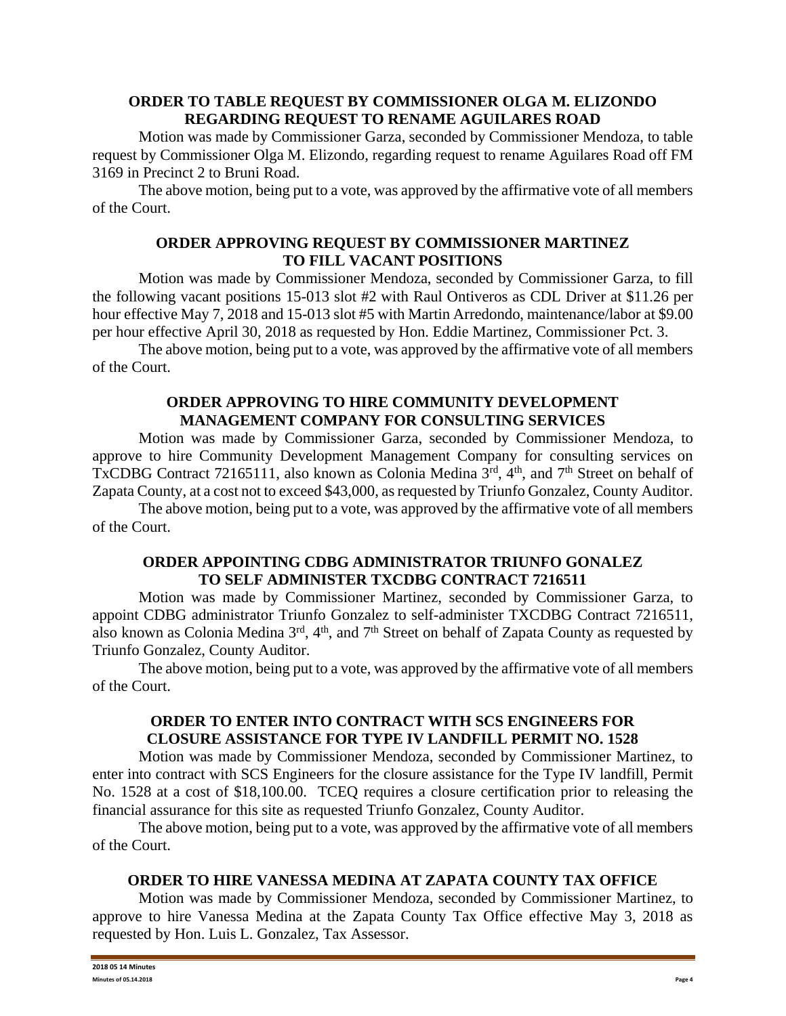## **ORDER TO TABLE REQUEST BY COMMISSIONER OLGA M. ELIZONDO REGARDING REQUEST TO RENAME AGUILARES ROAD**

Motion was made by Commissioner Garza, seconded by Commissioner Mendoza, to table request by Commissioner Olga M. Elizondo, regarding request to rename Aguilares Road off FM 3169 in Precinct 2 to Bruni Road.

The above motion, being put to a vote, was approved by the affirmative vote of all members of the Court.

# **ORDER APPROVING REQUEST BY COMMISSIONER MARTINEZ TO FILL VACANT POSITIONS**

Motion was made by Commissioner Mendoza, seconded by Commissioner Garza, to fill the following vacant positions 15-013 slot #2 with Raul Ontiveros as CDL Driver at \$11.26 per hour effective May 7, 2018 and 15-013 slot #5 with Martin Arredondo, maintenance/labor at \$9.00 per hour effective April 30, 2018 as requested by Hon. Eddie Martinez, Commissioner Pct. 3.

The above motion, being put to a vote, was approved by the affirmative vote of all members of the Court.

## **ORDER APPROVING TO HIRE COMMUNITY DEVELOPMENT MANAGEMENT COMPANY FOR CONSULTING SERVICES**

Motion was made by Commissioner Garza, seconded by Commissioner Mendoza, to approve to hire Community Development Management Company for consulting services on TxCDBG Contract 72165111, also known as Colonia Medina 3rd, 4th, and 7th Street on behalf of Zapata County, at a cost not to exceed \$43,000, as requested by Triunfo Gonzalez, County Auditor.

The above motion, being put to a vote, was approved by the affirmative vote of all members of the Court.

# **ORDER APPOINTING CDBG ADMINISTRATOR TRIUNFO GONALEZ TO SELF ADMINISTER TXCDBG CONTRACT 7216511**

Motion was made by Commissioner Martinez, seconded by Commissioner Garza, to appoint CDBG administrator Triunfo Gonzalez to self-administer TXCDBG Contract 7216511, also known as Colonia Medina  $3<sup>rd</sup>$ ,  $4<sup>th</sup>$ , and  $7<sup>th</sup>$  Street on behalf of Zapata County as requested by Triunfo Gonzalez, County Auditor.

The above motion, being put to a vote, was approved by the affirmative vote of all members of the Court.

### **ORDER TO ENTER INTO CONTRACT WITH SCS ENGINEERS FOR CLOSURE ASSISTANCE FOR TYPE IV LANDFILL PERMIT NO. 1528**

Motion was made by Commissioner Mendoza, seconded by Commissioner Martinez, to enter into contract with SCS Engineers for the closure assistance for the Type IV landfill, Permit No. 1528 at a cost of \$18,100.00. TCEQ requires a closure certification prior to releasing the financial assurance for this site as requested Triunfo Gonzalez, County Auditor.

The above motion, being put to a vote, was approved by the affirmative vote of all members of the Court.

# **ORDER TO HIRE VANESSA MEDINA AT ZAPATA COUNTY TAX OFFICE**

Motion was made by Commissioner Mendoza, seconded by Commissioner Martinez, to approve to hire Vanessa Medina at the Zapata County Tax Office effective May 3, 2018 as requested by Hon. Luis L. Gonzalez, Tax Assessor.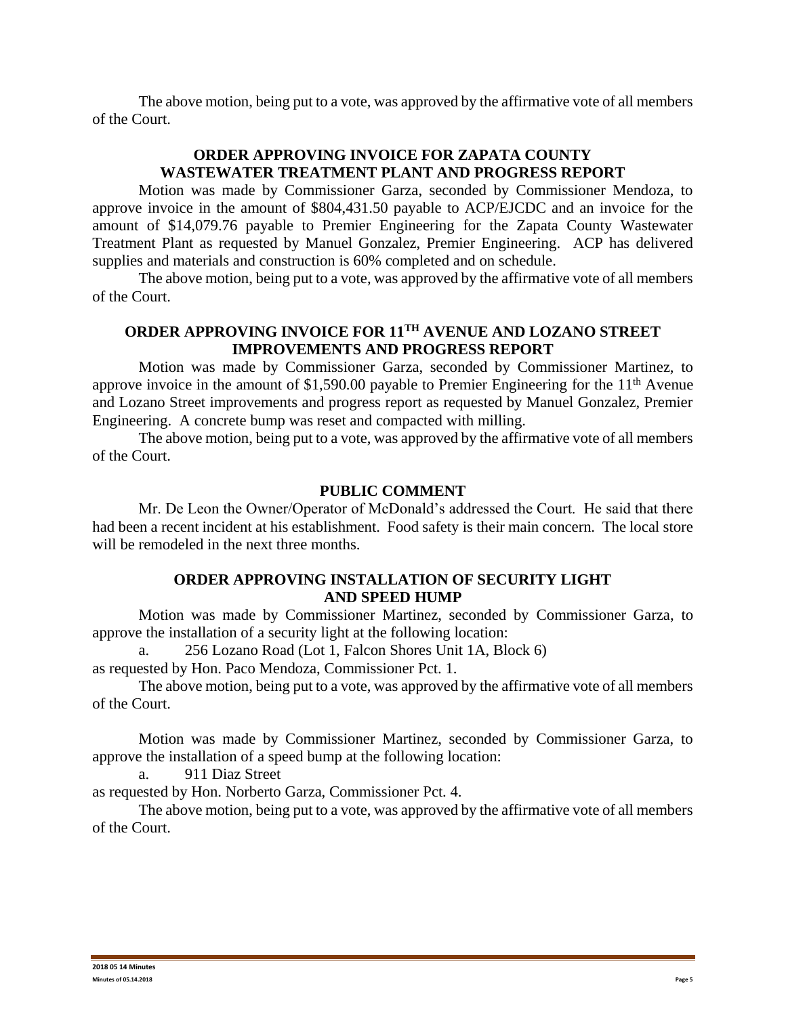The above motion, being put to a vote, was approved by the affirmative vote of all members of the Court.

# **ORDER APPROVING INVOICE FOR ZAPATA COUNTY WASTEWATER TREATMENT PLANT AND PROGRESS REPORT**

Motion was made by Commissioner Garza, seconded by Commissioner Mendoza, to approve invoice in the amount of \$804,431.50 payable to ACP/EJCDC and an invoice for the amount of \$14,079.76 payable to Premier Engineering for the Zapata County Wastewater Treatment Plant as requested by Manuel Gonzalez, Premier Engineering. ACP has delivered supplies and materials and construction is 60% completed and on schedule.

The above motion, being put to a vote, was approved by the affirmative vote of all members of the Court.

# **ORDER APPROVING INVOICE FOR 11TH AVENUE AND LOZANO STREET IMPROVEMENTS AND PROGRESS REPORT**

Motion was made by Commissioner Garza, seconded by Commissioner Martinez, to approve invoice in the amount of  $$1,590.00$  payable to Premier Engineering for the  $11<sup>th</sup>$  Avenue and Lozano Street improvements and progress report as requested by Manuel Gonzalez, Premier Engineering. A concrete bump was reset and compacted with milling.

The above motion, being put to a vote, was approved by the affirmative vote of all members of the Court.

#### **PUBLIC COMMENT**

Mr. De Leon the Owner/Operator of McDonald's addressed the Court. He said that there had been a recent incident at his establishment. Food safety is their main concern. The local store will be remodeled in the next three months.

#### **ORDER APPROVING INSTALLATION OF SECURITY LIGHT AND SPEED HUMP**

Motion was made by Commissioner Martinez, seconded by Commissioner Garza, to approve the installation of a security light at the following location:

a. 256 Lozano Road (Lot 1, Falcon Shores Unit 1A, Block 6)

as requested by Hon. Paco Mendoza, Commissioner Pct. 1.

The above motion, being put to a vote, was approved by the affirmative vote of all members of the Court.

Motion was made by Commissioner Martinez, seconded by Commissioner Garza, to approve the installation of a speed bump at the following location:

a. 911 Diaz Street

as requested by Hon. Norberto Garza, Commissioner Pct. 4.

The above motion, being put to a vote, was approved by the affirmative vote of all members of the Court.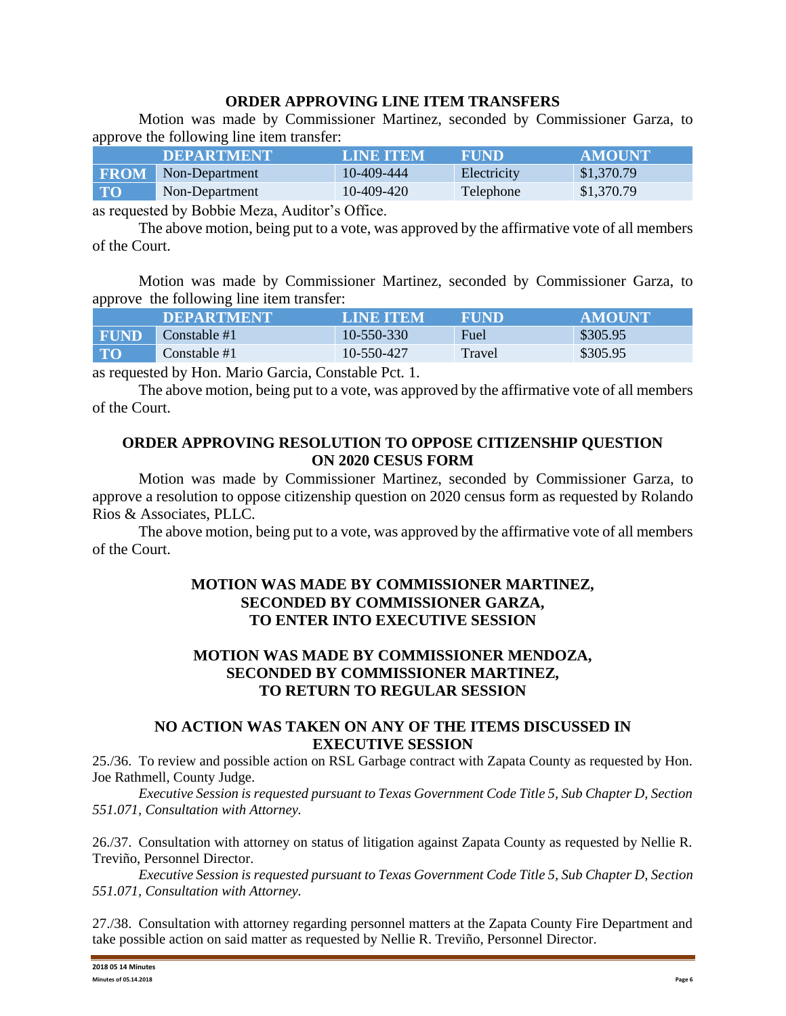### **ORDER APPROVING LINE ITEM TRANSFERS**

Motion was made by Commissioner Martinez, seconded by Commissioner Garza, to approve the following line item transfer:

|                | <b>DEPARTMENT</b> | <b>LINE ITEM</b> | <b>FUND</b> | AMOUNT     |
|----------------|-------------------|------------------|-------------|------------|
| <b>FROM</b>    | Non-Department    | 10-409-444       | Electricity | \$1,370.79 |
| $\mathbf{T}$ O | Non-Department    | 10-409-420       | Telephone   | \$1,370.79 |

as requested by Bobbie Meza, Auditor's Office.

The above motion, being put to a vote, was approved by the affirmative vote of all members of the Court.

Motion was made by Commissioner Martinez, seconded by Commissioner Garza, to approve the following line item transfer:

|             | <b>DEPARTMENT</b> | <b>LINE ITEM</b> | FUND   | <b>AMOUNT</b> |
|-------------|-------------------|------------------|--------|---------------|
| <b>FUND</b> | Constable #1      | 10-550-330       | Fuel   | \$305.95      |
| <b>TO</b>   | Constable #1      | 10-550-427       | Travel | \$305.95      |

as requested by Hon. Mario Garcia, Constable Pct. 1.

The above motion, being put to a vote, was approved by the affirmative vote of all members of the Court.

## **ORDER APPROVING RESOLUTION TO OPPOSE CITIZENSHIP QUESTION ON 2020 CESUS FORM**

Motion was made by Commissioner Martinez, seconded by Commissioner Garza, to approve a resolution to oppose citizenship question on 2020 census form as requested by Rolando Rios & Associates, PLLC.

The above motion, being put to a vote, was approved by the affirmative vote of all members of the Court.

### **MOTION WAS MADE BY COMMISSIONER MARTINEZ, SECONDED BY COMMISSIONER GARZA, TO ENTER INTO EXECUTIVE SESSION**

# **MOTION WAS MADE BY COMMISSIONER MENDOZA, SECONDED BY COMMISSIONER MARTINEZ, TO RETURN TO REGULAR SESSION**

### **NO ACTION WAS TAKEN ON ANY OF THE ITEMS DISCUSSED IN EXECUTIVE SESSION**

25./36. To review and possible action on RSL Garbage contract with Zapata County as requested by Hon. Joe Rathmell, County Judge.

*Executive Session is requested pursuant to Texas Government Code Title 5, Sub Chapter D, Section 551.071, Consultation with Attorney.*

26./37. Consultation with attorney on status of litigation against Zapata County as requested by Nellie R. Treviño, Personnel Director.

*Executive Session is requested pursuant to Texas Government Code Title 5, Sub Chapter D, Section 551.071, Consultation with Attorney.*

27./38. Consultation with attorney regarding personnel matters at the Zapata County Fire Department and take possible action on said matter as requested by Nellie R. Treviño, Personnel Director.